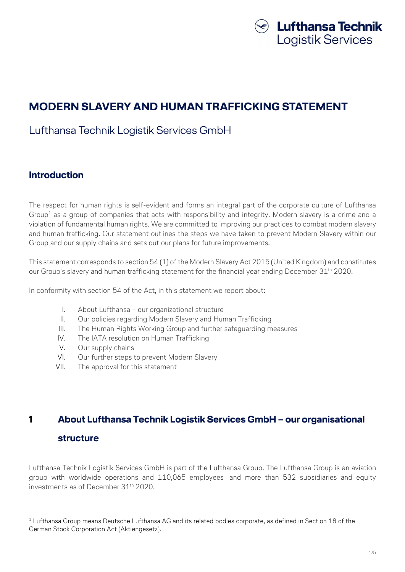

# MODERN SLAVERY AND HUMAN TRAFFICKING STATEMENT

## Lufthansa Technik Logistik Services GmbH

#### Introduction

The respect for human rights is self-evident and forms an integral part of the corporate culture of Lufthansa Group $^{\text{\tiny 1}}$  as a group of companies that acts with responsibility and integrity. Modern slavery is a crime and a violation of fundamental human rights. We are committed to improving our practices to combat modern slavery and human trafficking. Our statement outlines the steps we have taken to prevent Modern Slavery within our Group and our supply chains and sets out our plans for future improvements.

This statement corresponds to section 54 (1) of the Modern Slavery Act 2015 (United Kingdom) and constitutes our Group's slavery and human trafficking statement for the financial year ending December 31<sup>th</sup> 2020.

In conformity with section 54 of the Act, in this statement we report about:

- I. About Lufthansa our organizational structure
- II. Our policies regarding Modern Slavery and Human Trafficking
- III. The Human Rights Working Group and further safeguarding measures
- IV. The IATA resolution on Human Trafficking
- V. Our supply chains
- VI. Our further steps to prevent Modern Slavery
- VII. The approval for this statement

# 1 About Lufthansa Technik Logistik Services GmbH – our organisational structure

Lufthansa Technik Logistik Services GmbH is part of the Lufthansa Group. The Lufthansa Group is an aviation group with worldwide operations and 110,065 employees and more than 532 subsidiaries and equity investments as of December 31th 2020.

 $^{\rm 1}$  Lufthansa Group means Deutsche Lufthansa AG and its related bodies corporate, as defined in Section 18 of the German Stock Corporation Act (Aktiengesetz).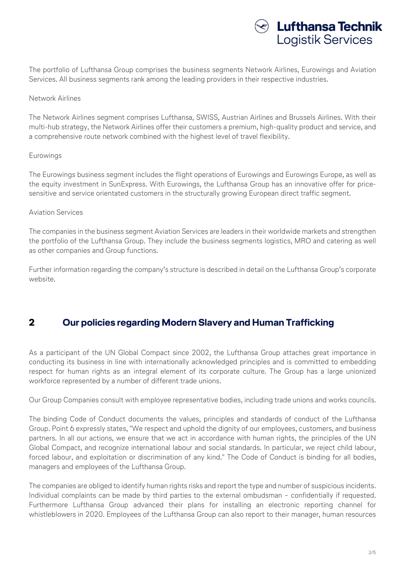

The portfolio of Lufthansa Group comprises the business segments Network Airlines, Eurowings and Aviation Services. All business segments rank among the leading providers in their respective industries.

#### Network Airlines

The Network Airlines segment comprises Lufthansa, SWISS, Austrian Airlines and Brussels Airlines. With their multi-hub strategy, the Network Airlines offer their customers a premium, high-quality product and service, and a comprehensive route network combined with the highest level of travel flexibility.

#### Eurowings

The Eurowings business segment includes the flight operations of Eurowings and Eurowings Europe, as well as the equity investment in SunExpress. With Eurowings, the Lufthansa Group has an innovative offer for pricesensitive and service orientated customers in the structurally growing European direct traffic segment.

#### Aviation Services

The companies in the business segment Aviation Services are leaders in their worldwide markets and strengthen the portfolio of the Lufthansa Group. They include the business segments logistics, MRO and catering as well as other companies and Group functions.

Further information regarding the company's structure is described in detail on the Lufthansa Group's corporate website.

#### 2 Our policies regarding Modern Slavery and Human Trafficking

As a participant of the UN Global Compact since 2002, the Lufthansa Group attaches great importance in conducting its business in line with internationally acknowledged principles and is committed to embedding respect for human rights as an integral element of its corporate culture. The Group has a large unionized workforce represented by a number of different trade unions.

Our Group Companies consult with employee representative bodies, including trade unions and works councils.

The binding Code of Conduct documents the values, principles and standards of conduct of the Lufthansa Group. Point 6 expressly states, "We respect and uphold the dignity of our employees, customers, and business partners. In all our actions, we ensure that we act in accordance with human rights, the principles of the UN Global Compact, and recognize international labour and social standards. In particular, we reject child labour, forced labour, and exploitation or discrimination of any kind." The Code of Conduct is binding for all bodies, managers and employees of the Lufthansa Group.

The companies are obliged to identify human rights risks and report the type and number of suspicious incidents. Individual complaints can be made by third parties to the external ombudsman – confidentially if requested. Furthermore Lufthansa Group advanced their plans for installing an electronic reporting channel for whistleblowers in 2020. Employees of the Lufthansa Group can also report to their manager, human resources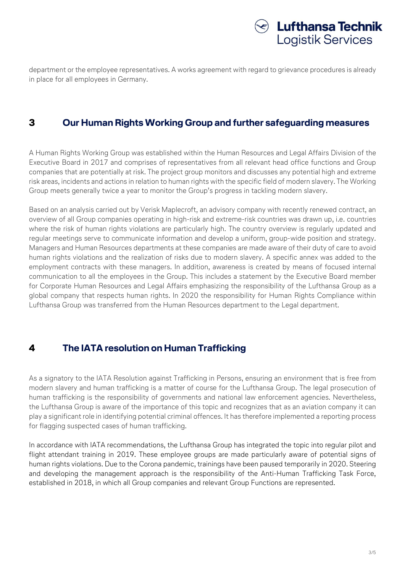

department or the employee representatives. A works agreement with regard to grievance procedures is already in place for all employees in Germany.

#### 3 Our Human Rights Working Group and further safeguarding measures

A Human Rights Working Group was established within the Human Resources and Legal Affairs Division of the Executive Board in 2017 and comprises of representatives from all relevant head office functions and Group companies that are potentially at risk. The project group monitors and discusses any potential high and extreme risk areas, incidents and actions in relation to human rights with the specific field of modern slavery. The Working Group meets generally twice a year to monitor the Group's progress in tackling modern slavery.

Based on an analysis carried out by Verisk Maplecroft, an advisory company with recently renewed contract, an overview of all Group companies operating in high-risk and extreme-risk countries was drawn up, i.e. countries where the risk of human rights violations are particularly high. The country overview is regularly updated and regular meetings serve to communicate information and develop a uniform, group-wide position and strategy. Managers and Human Resources departments at these companies are made aware of their duty of care to avoid human rights violations and the realization of risks due to modern slavery. A specific annex was added to the employment contracts with these managers. In addition, awareness is created by means of focused internal communication to all the employees in the Group. This includes a statement by the Executive Board member for Corporate Human Resources and Legal Affairs emphasizing the responsibility of the Lufthansa Group as a global company that respects human rights. In 2020 the responsibility for Human Rights Compliance within Lufthansa Group was transferred from the Human Resources department to the Legal department.

## 4 The IATA resolution on Human Trafficking

As a signatory to the IATA Resolution against Trafficking in Persons, ensuring an environment that is free from modern slavery and human trafficking is a matter of course for the Lufthansa Group. The legal prosecution of human trafficking is the responsibility of governments and national law enforcement agencies. Nevertheless, the Lufthansa Group is aware of the importance of this topic and recognizes that as an aviation company it can play a significant role in identifying potential criminal offences. It has therefore implemented a reporting process for flagging suspected cases of human trafficking.

In accordance with IATA recommendations, the Lufthansa Group has integrated the topic into regular pilot and flight attendant training in 2019. These employee groups are made particularly aware of potential signs of human rights violations. Due to the Corona pandemic, trainings have been paused temporarily in 2020. Steering and developing the management approach is the responsibility of the Anti-Human Trafficking Task Force, established in 2018, in which all Group companies and relevant Group Functions are represented.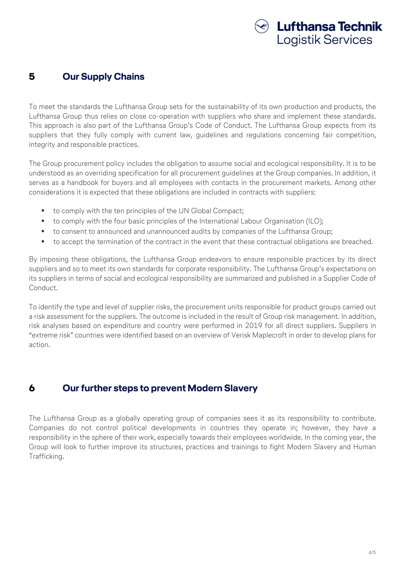

#### 5 Our Supply Chains

To meet the standards the Lufthansa Group sets for the sustainability of its own production and products, the Lufthansa Group thus relies on close co-operation with suppliers who share and implement these standards. This approach is also part of the Lufthansa Group's Code of Conduct. The Lufthansa Group expects from its suppliers that they fully comply with current law, guidelines and regulations concerning fair competition, integrity and responsible practices.

The Group procurement policy includes the obligation to assume social and ecological responsibility. It is to be understood as an overriding specification for all procurement guidelines at the Group companies. In addition, it serves as a handbook for buyers and all employees with contacts in the procurement markets. Among other considerations it is expected that these obligations are included in contracts with suppliers:

- to comply with the ten principles of the UN Global Compact;
- to comply with the four basic principles of the International Labour Organisation (ILO);
- to consent to announced and unannounced audits by companies of the Lufthansa Group;
- to accept the termination of the contract in the event that these contractual obligations are breached.

By imposing these obligations, the Lufthansa Group endeavors to ensure responsible practices by its direct suppliers and so to meet its own standards for corporate responsibility. The Lufthansa Group's expectations on its suppliers in terms of social and ecological responsibility are summarized and published in a Supplier Code of Conduct.

To identify the type and level of supplier risks, the procurement units responsible for product groups carried out a risk assessment for the suppliers. The outcome is included in the result of Group risk management. In addition, risk analyses based on expenditure and country were performed in 2019 for all direct suppliers. Suppliers in "extreme risk" countries were identified based on an overview of Verisk Maplecroft in order to develop plans for action.

## 6 Our further steps to prevent Modern Slavery

The Lufthansa Group as a globally operating group of companies sees it as its responsibility to contribute. Companies do not control political developments in countries they operate in; however, they have a responsibility in the sphere of their work, especially towards their employees worldwide. In the coming year, the Group will look to further improve its structures, practices and trainings to fight Modern Slavery and Human Trafficking.